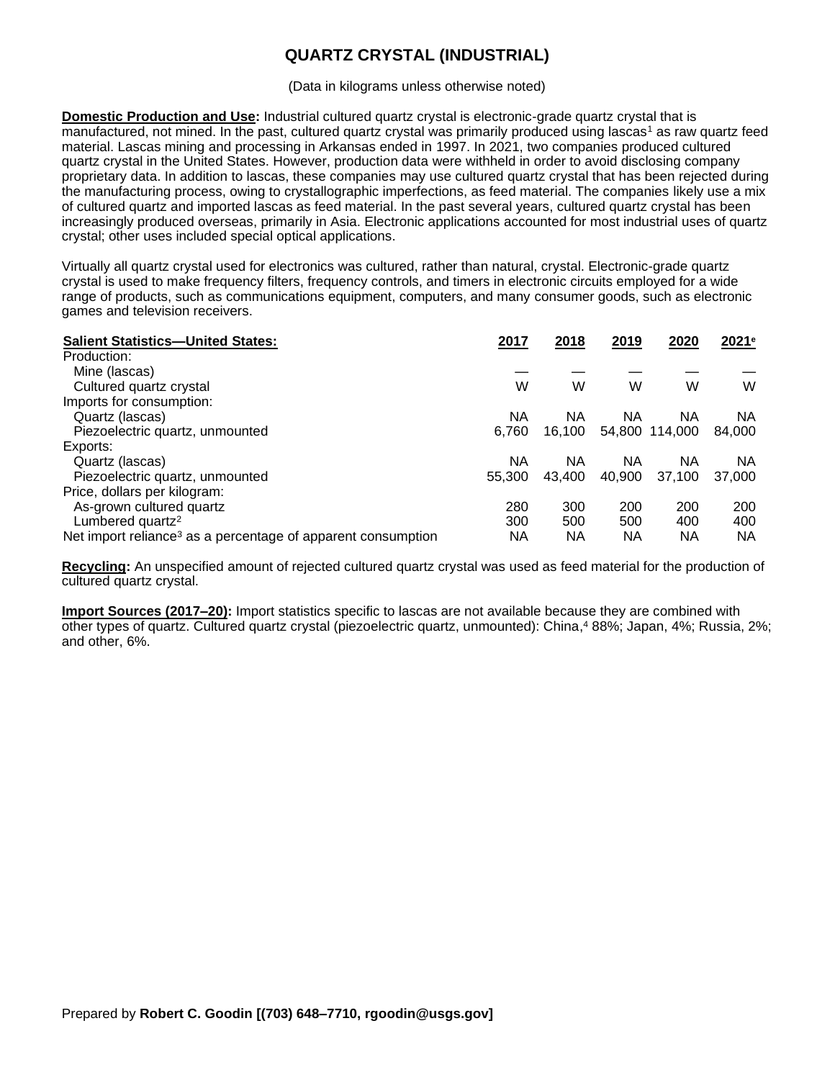## **QUARTZ CRYSTAL (INDUSTRIAL)**

(Data in kilograms unless otherwise noted)

**Domestic Production and Use:** Industrial cultured quartz crystal is electronic-grade quartz crystal that is manufactured, not mined. In the past, cultured quartz crystal was primarily produced using lascas<sup>1</sup> as raw quartz feed material. Lascas mining and processing in Arkansas ended in 1997. In 2021, two companies produced cultured quartz crystal in the United States. However, production data were withheld in order to avoid disclosing company proprietary data. In addition to lascas, these companies may use cultured quartz crystal that has been rejected during the manufacturing process, owing to crystallographic imperfections, as feed material. The companies likely use a mix of cultured quartz and imported lascas as feed material. In the past several years, cultured quartz crystal has been increasingly produced overseas, primarily in Asia. Electronic applications accounted for most industrial uses of quartz crystal; other uses included special optical applications.

Virtually all quartz crystal used for electronics was cultured, rather than natural, crystal. Electronic-grade quartz crystal is used to make frequency filters, frequency controls, and timers in electronic circuits employed for a wide range of products, such as communications equipment, computers, and many consumer goods, such as electronic games and television receivers.

| <b>Salient Statistics-United States:</b>                                 | 2017   | 2018   | 2019   | 2020           | 2021 <sup>e</sup> |
|--------------------------------------------------------------------------|--------|--------|--------|----------------|-------------------|
| Production:                                                              |        |        |        |                |                   |
| Mine (lascas)                                                            |        |        |        |                |                   |
| Cultured quartz crystal                                                  | W      | W      | W      | W              | W                 |
| Imports for consumption:                                                 |        |        |        |                |                   |
| Quartz (lascas)                                                          | ΝA     | ΝA     | ΝA     | ΝA             | NA                |
| Piezoelectric quartz, unmounted                                          | 6,760  | 16,100 |        | 54,800 114,000 | 84,000            |
| Exports:                                                                 |        |        |        |                |                   |
| Quartz (lascas)                                                          | ΝA     | ΝA     | ΝA     | ΝA             | NA                |
| Piezoelectric quartz, unmounted                                          | 55,300 | 43,400 | 40,900 | 37,100         | 37,000            |
| Price, dollars per kilogram:                                             |        |        |        |                |                   |
| As-grown cultured quartz                                                 | 280    | 300    | 200    | 200            | 200               |
| Lumbered quartz <sup>2</sup>                                             | 300    | 500    | 500    | 400            | 400               |
| Net import reliance <sup>3</sup> as a percentage of apparent consumption | ΝA     | ΝA     | ΝA     | ΝA             | ΝA                |

**Recycling:** An unspecified amount of rejected cultured quartz crystal was used as feed material for the production of cultured quartz crystal.

**Import Sources (2017–20):** Import statistics specific to lascas are not available because they are combined with other types of quartz. Cultured quartz crystal (piezoelectric quartz, unmounted): China, <sup>4</sup> 88%; Japan, 4%; Russia, 2%; and other, 6%.